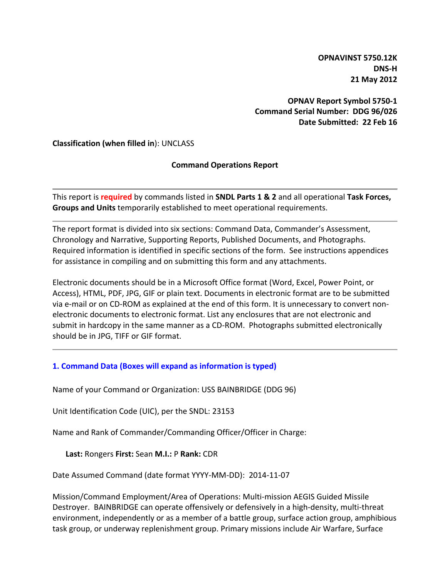**OPNAVINST 5750.12K DNS-H 21 May 2012**

**OPNAV Report Symbol 5750-1 Command Serial Number: DDG 96/026 Date Submitted: 22 Feb 16**

**Classification (when filled in**): UNCLASS

## **Command Operations Report**

This report is **required** by commands listed in **SNDL Parts 1 & 2** and all operational **Task Forces, Groups and Units** temporarily established to meet operational requirements.

The report format is divided into six sections: Command Data, Commander's Assessment, Chronology and Narrative, Supporting Reports, Published Documents, and Photographs. Required information is identified in specific sections of the form. See instructions appendices for assistance in compiling and on submitting this form and any attachments.

Electronic documents should be in a Microsoft Office format (Word, Excel, Power Point, or Access), HTML, PDF, JPG, GIF or plain text. Documents in electronic format are to be submitted via e-mail or on CD-ROM as explained at the end of this form. It is unnecessary to convert nonelectronic documents to electronic format. List any enclosures that are not electronic and submit in hardcopy in the same manner as a CD-ROM. Photographs submitted electronically should be in JPG, TIFF or GIF format.

## **1. Command Data (Boxes will expand as information is typed)**

Name of your Command or Organization: USS BAINBRIDGE (DDG 96)

Unit Identification Code (UIC), per the SNDL: 23153

Name and Rank of Commander/Commanding Officer/Officer in Charge:

**Last:** Rongers **First:** Sean **M.I.:** P **Rank:** CDR

Date Assumed Command (date format YYYY-MM-DD): 2014-11-07

Mission/Command Employment/Area of Operations: Multi-mission AEGIS Guided Missile Destroyer. BAINBRIDGE can operate offensively or defensively in a high-density, multi-threat environment, independently or as a member of a battle group, surface action group, amphibious task group, or underway replenishment group. Primary missions include Air Warfare, Surface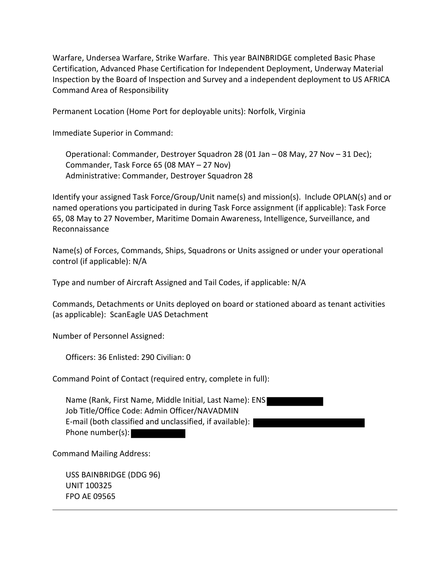Warfare, Undersea Warfare, Strike Warfare. This year BAINBRIDGE completed Basic Phase Certification, Advanced Phase Certification for Independent Deployment, Underway Material Inspection by the Board of Inspection and Survey and a independent deployment to US AFRICA Command Area of Responsibility

Permanent Location (Home Port for deployable units): Norfolk, Virginia

Immediate Superior in Command:

Operational: Commander, Destroyer Squadron 28 (01 Jan – 08 May, 27 Nov – 31 Dec); Commander, Task Force 65 (08 MAY – 27 Nov) Administrative: Commander, Destroyer Squadron 28

Identify your assigned Task Force/Group/Unit name(s) and mission(s). Include OPLAN(s) and or named operations you participated in during Task Force assignment (if applicable): Task Force 65, 08 May to 27 November, Maritime Domain Awareness, Intelligence, Surveillance, and Reconnaissance

Name(s) of Forces, Commands, Ships, Squadrons or Units assigned or under your operational control (if applicable): N/A

Type and number of Aircraft Assigned and Tail Codes, if applicable: N/A

Commands, Detachments or Units deployed on board or stationed aboard as tenant activities (as applicable): ScanEagle UAS Detachment

Number of Personnel Assigned:

Officers: 36 Enlisted: 290 Civilian: 0

Command Point of Contact (required entry, complete in full):

Name (Rank, First Name, Middle Initial, Last Name): ENS Job Title/Office Code: Admin Officer/NAVADMIN E-mail (both classified and unclassified, if available): Phone number(s):

Command Mailing Address:

USS BAINBRIDGE (DDG 96) UNIT 100325 FPO AE 09565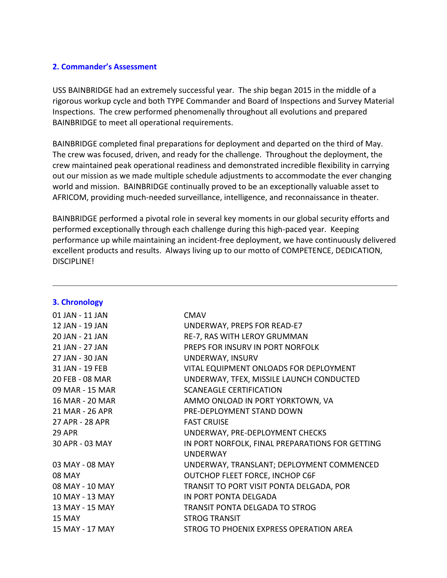## **2. Commander's Assessment**

USS BAINBRIDGE had an extremely successful year. The ship began 2015 in the middle of a rigorous workup cycle and both TYPE Commander and Board of Inspections and Survey Material Inspections. The crew performed phenomenally throughout all evolutions and prepared BAINBRIDGE to meet all operational requirements.

BAINBRIDGE completed final preparations for deployment and departed on the third of May. The crew was focused, driven, and ready for the challenge. Throughout the deployment, the crew maintained peak operational readiness and demonstrated incredible flexibility in carrying out our mission as we made multiple schedule adjustments to accommodate the ever changing world and mission. BAINBRIDGE continually proved to be an exceptionally valuable asset to AFRICOM, providing much-needed surveillance, intelligence, and reconnaissance in theater.

BAINBRIDGE performed a pivotal role in several key moments in our global security efforts and performed exceptionally through each challenge during this high-paced year. Keeping performance up while maintaining an incident-free deployment, we have continuously delivered excellent products and results. Always living up to our motto of COMPETENCE, DEDICATION, DISCIPLINE!

| 01 JAN - 11 JAN | <b>CMAV</b>                                     |
|-----------------|-------------------------------------------------|
| 12 JAN - 19 JAN | UNDERWAY, PREPS FOR READ-E7                     |
| 20 JAN - 21 JAN | RE-7, RAS WITH LEROY GRUMMAN                    |
| 21 JAN - 27 JAN | PREPS FOR INSURV IN PORT NORFOLK                |
| 27 JAN - 30 JAN | UNDERWAY, INSURV                                |
| 31 JAN - 19 FEB | VITAL EQUIPMENT ONLOADS FOR DEPLOYMENT          |
| 20 FEB - 08 MAR | UNDERWAY, TFEX, MISSILE LAUNCH CONDUCTED        |
| 09 MAR - 15 MAR | <b>SCANEAGLE CERTIFICATION</b>                  |
| 16 MAR - 20 MAR | AMMO ONLOAD IN PORT YORKTOWN, VA                |
| 21 MAR - 26 APR | PRE-DEPLOYMENT STAND DOWN                       |
| 27 APR - 28 APR | <b>FAST CRUISE</b>                              |
| <b>29 APR</b>   | UNDERWAY, PRE-DEPLOYMENT CHECKS                 |
| 30 APR - 03 MAY | IN PORT NORFOLK, FINAL PREPARATIONS FOR GETTING |
|                 | <b>UNDERWAY</b>                                 |
| 03 MAY - 08 MAY | UNDERWAY, TRANSLANT; DEPLOYMENT COMMENCED       |
| <b>08 MAY</b>   | OUTCHOP FLEET FORCE, INCHOP C6F                 |
| 08 MAY - 10 MAY | TRANSIT TO PORT VISIT PONTA DELGADA, POR        |
| 10 MAY - 13 MAY | IN PORT PONTA DELGADA                           |
| 13 MAY - 15 MAY | <b>TRANSIT PONTA DELGADA TO STROG</b>           |
| 15 MAY          | <b>STROG TRANSIT</b>                            |
| 15 MAY - 17 MAY | STROG TO PHOENIX EXPRESS OPERATION AREA         |

#### **3. Chronology**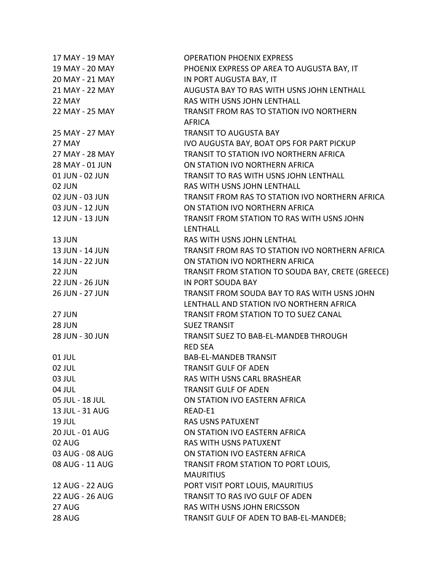| 17 MAY - 19 MAY        | <b>OPERATION PHOENIX EXPRESS</b>                  |
|------------------------|---------------------------------------------------|
| 19 MAY - 20 MAY        | PHOENIX EXPRESS OP AREA TO AUGUSTA BAY, IT        |
| 20 MAY - 21 MAY        | IN PORT AUGUSTA BAY, IT                           |
| 21 MAY - 22 MAY        | AUGUSTA BAY TO RAS WITH USNS JOHN LENTHALL        |
| 22 MAY                 | RAS WITH USNS JOHN LENTHALL                       |
| 22 MAY - 25 MAY        | TRANSIT FROM RAS TO STATION IVO NORTHERN          |
|                        | <b>AFRICA</b>                                     |
| 25 MAY - 27 MAY        | <b>TRANSIT TO AUGUSTA BAY</b>                     |
| 27 MAY                 | IVO AUGUSTA BAY, BOAT OPS FOR PART PICKUP         |
| 27 MAY - 28 MAY        | <b>TRANSIT TO STATION IVO NORTHERN AFRICA</b>     |
| 28 MAY - 01 JUN        | ON STATION IVO NORTHERN AFRICA                    |
| 01 JUN - 02 JUN        | <b>TRANSIT TO RAS WITH USNS JOHN LENTHALL</b>     |
| 02 JUN                 | RAS WITH USNS JOHN LENTHALL                       |
| 02 JUN - 03 JUN        | TRANSIT FROM RAS TO STATION IVO NORTHERN AFRICA   |
| 03 JUN - 12 JUN        | ON STATION IVO NORTHERN AFRICA                    |
| 12 JUN - 13 JUN        | TRANSIT FROM STATION TO RAS WITH USNS JOHN        |
|                        | LENTHALL                                          |
| 13 JUN                 | RAS WITH USNS JOHN LENTHAL                        |
| 13 JUN - 14 JUN        | TRANSIT FROM RAS TO STATION IVO NORTHERN AFRICA   |
| 14 JUN - 22 JUN        | ON STATION IVO NORTHERN AFRICA                    |
| <b>22 JUN</b>          | TRANSIT FROM STATION TO SOUDA BAY, CRETE (GREECE) |
| 22 JUN - 26 JUN        | IN PORT SOUDA BAY                                 |
| 26 JUN - 27 JUN        | TRANSIT FROM SOUDA BAY TO RAS WITH USNS JOHN      |
|                        | LENTHALL AND STATION IVO NORTHERN AFRICA          |
| <b>27 JUN</b>          | TRANSIT FROM STATION TO TO SUEZ CANAL             |
| <b>28 JUN</b>          | <b>SUEZ TRANSIT</b>                               |
| 28 JUN - 30 JUN        | TRANSIT SUEZ TO BAB-EL-MANDEB THROUGH             |
|                        | <b>RED SEA</b>                                    |
| 01 JUL                 | <b>BAB-EL-MANDEB TRANSIT</b>                      |
| 02 JUL                 | <b>TRANSIT GULF OF ADEN</b>                       |
| 03 JUL                 | RAS WITH USNS CARL BRASHEAR                       |
| 04 JUL                 | <b>TRANSIT GULF OF ADEN</b>                       |
| 05 JUL - 18 JUL        | ON STATION IVO EASTERN AFRICA                     |
| 13 JUL - 31 AUG        | READ-E1                                           |
| <b>19 JUL</b>          | <b>RAS USNS PATUXENT</b>                          |
| 20 JUL - 01 AUG        | ON STATION IVO EASTERN AFRICA                     |
| 02 AUG                 | <b>RAS WITH USNS PATUXENT</b>                     |
| 03 AUG - 08 AUG        | ON STATION IVO EASTERN AFRICA                     |
| 08 AUG - 11 AUG        | TRANSIT FROM STATION TO PORT LOUIS,               |
|                        | <b>MAURITIUS</b>                                  |
| 12 AUG - 22 AUG        | PORT VISIT PORT LOUIS, MAURITIUS                  |
| <b>22 AUG - 26 AUG</b> | TRANSIT TO RAS IVO GULF OF ADEN                   |
| 27 AUG                 | RAS WITH USNS JOHN ERICSSON                       |
| 28 AUG                 | TRANSIT GULF OF ADEN TO BAB-EL-MANDEB;            |
|                        |                                                   |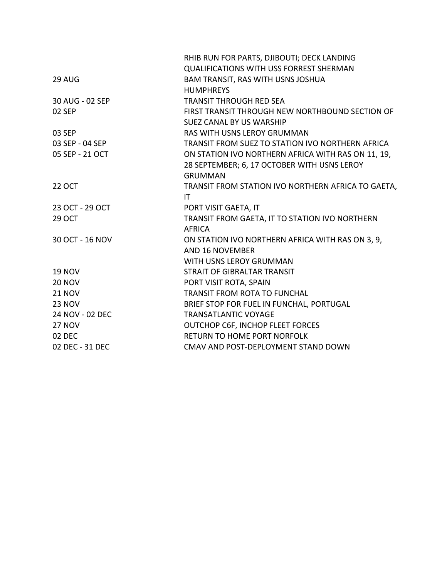|                 | RHIB RUN FOR PARTS, DJIBOUTI; DECK LANDING         |
|-----------------|----------------------------------------------------|
|                 | <b>QUALIFICATIONS WITH USS FORREST SHERMAN</b>     |
| 29 AUG          | BAM TRANSIT, RAS WITH USNS JOSHUA                  |
|                 | <b>HUMPHREYS</b>                                   |
| 30 AUG - 02 SEP | <b>TRANSIT THROUGH RED SEA</b>                     |
| 02 SEP          | FIRST TRANSIT THROUGH NEW NORTHBOUND SECTION OF    |
|                 | SUEZ CANAL BY US WARSHIP                           |
| 03 SEP          | <b>RAS WITH USNS LEROY GRUMMAN</b>                 |
| 03 SEP - 04 SEP | TRANSIT FROM SUEZ TO STATION IVO NORTHERN AFRICA   |
| 05 SEP - 21 OCT | ON STATION IVO NORTHERN AFRICA WITH RAS ON 11, 19, |
|                 | 28 SEPTEMBER; 6, 17 OCTOBER WITH USNS LEROY        |
|                 | <b>GRUMMAN</b>                                     |
| <b>22 OCT</b>   | TRANSIT FROM STATION IVO NORTHERN AFRICA TO GAETA, |
|                 | IT.                                                |
| 23 OCT - 29 OCT | PORT VISIT GAETA, IT                               |
| <b>29 OCT</b>   | TRANSIT FROM GAETA, IT TO STATION IVO NORTHERN     |
|                 | <b>AFRICA</b>                                      |
| 30 OCT - 16 NOV | ON STATION IVO NORTHERN AFRICA WITH RAS ON 3, 9,   |
|                 | <b>AND 16 NOVEMBER</b>                             |
|                 | WITH USNS LEROY GRUMMAN                            |
| <b>19 NOV</b>   | STRAIT OF GIBRALTAR TRANSIT                        |
| <b>20 NOV</b>   | PORT VISIT ROTA, SPAIN                             |
| <b>21 NOV</b>   | <b>TRANSIT FROM ROTA TO FUNCHAL</b>                |
| <b>23 NOV</b>   | BRIEF STOP FOR FUEL IN FUNCHAL, PORTUGAL           |
| 24 NOV - 02 DEC | <b>TRANSATLANTIC VOYAGE</b>                        |
| <b>27 NOV</b>   | OUTCHOP C6F, INCHOP FLEET FORCES                   |
| 02 DEC          | <b>RETURN TO HOME PORT NORFOLK</b>                 |
| 02 DEC - 31 DEC | CMAV AND POST-DEPLOYMENT STAND DOWN                |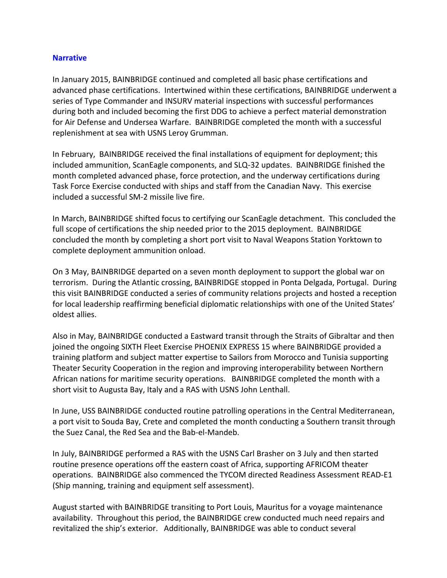## **Narrative**

In January 2015, BAINBRIDGE continued and completed all basic phase certifications and advanced phase certifications. Intertwined within these certifications, BAINBRIDGE underwent a series of Type Commander and INSURV material inspections with successful performances during both and included becoming the first DDG to achieve a perfect material demonstration for Air Defense and Undersea Warfare. BAINBRIDGE completed the month with a successful replenishment at sea with USNS Leroy Grumman.

In February, BAINBRIDGE received the final installations of equipment for deployment; this included ammunition, ScanEagle components, and SLQ-32 updates. BAINBRIDGE finished the month completed advanced phase, force protection, and the underway certifications during Task Force Exercise conducted with ships and staff from the Canadian Navy. This exercise included a successful SM-2 missile live fire.

In March, BAINBRIDGE shifted focus to certifying our ScanEagle detachment. This concluded the full scope of certifications the ship needed prior to the 2015 deployment. BAINBRIDGE concluded the month by completing a short port visit to Naval Weapons Station Yorktown to complete deployment ammunition onload.

On 3 May, BAINBRIDGE departed on a seven month deployment to support the global war on terrorism. During the Atlantic crossing, BAINBRIDGE stopped in Ponta Delgada, Portugal. During this visit BAINBRIDGE conducted a series of community relations projects and hosted a reception for local leadership reaffirming beneficial diplomatic relationships with one of the United States' oldest allies.

Also in May, BAINBRIDGE conducted a Eastward transit through the Straits of Gibraltar and then joined the ongoing SIXTH Fleet Exercise PHOENIX EXPRESS 15 where BAINBRIDGE provided a training platform and subject matter expertise to Sailors from Morocco and Tunisia supporting Theater Security Cooperation in the region and improving interoperability between Northern African nations for maritime security operations. BAINBRIDGE completed the month with a short visit to Augusta Bay, Italy and a RAS with USNS John Lenthall.

In June, USS BAINBRIDGE conducted routine patrolling operations in the Central Mediterranean, a port visit to Souda Bay, Crete and completed the month conducting a Southern transit through the Suez Canal, the Red Sea and the Bab-el-Mandeb.

In July, BAINBRIDGE performed a RAS with the USNS Carl Brasher on 3 July and then started routine presence operations off the eastern coast of Africa, supporting AFRICOM theater operations. BAINBRIDGE also commenced the TYCOM directed Readiness Assessment READ-E1 (Ship manning, training and equipment self assessment).

August started with BAINBRIDGE transiting to Port Louis, Mauritus for a voyage maintenance availability. Throughout this period, the BAINBRIDGE crew conducted much need repairs and revitalized the ship's exterior. Additionally, BAINBRIDGE was able to conduct several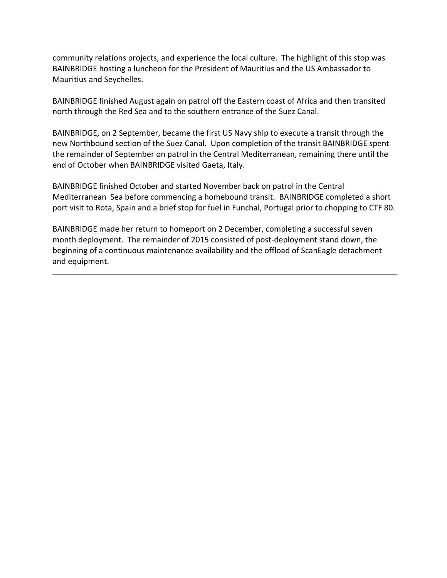community relations projects, and experience the local culture. The highlight of this stop was BAINBRIDGE hosting a luncheon for the President of Mauritius and the US Ambassador to Mauritius and Seychelles.

BAINBRIDGE finished August again on patrol off the Eastern coast of Africa and then transited north through the Red Sea and to the southern entrance of the Suez Canal.

BAINBRIDGE, on 2 September, became the first US Navy ship to execute a transit through the new Northbound section of the Suez Canal. Upon completion of the transit BAINBRIDGE spent the remainder of September on patrol in the Central Mediterranean, remaining there until the end of October when BAINBRIDGE visited Gaeta, Italy.

BAINBRIDGE finished October and started November back on patrol in the Central Mediterranean Sea before commencing a homebound transit. BAINBRIDGE completed a short port visit to Rota, Spain and a brief stop for fuel in Funchal, Portugal prior to chopping to CTF 80.

BAINBRIDGE made her return to homeport on 2 December, completing a successful seven month deployment. The remainder of 2015 consisted of post-deployment stand down, the beginning of a continuous maintenance availability and the offload of ScanEagle detachment and equipment.